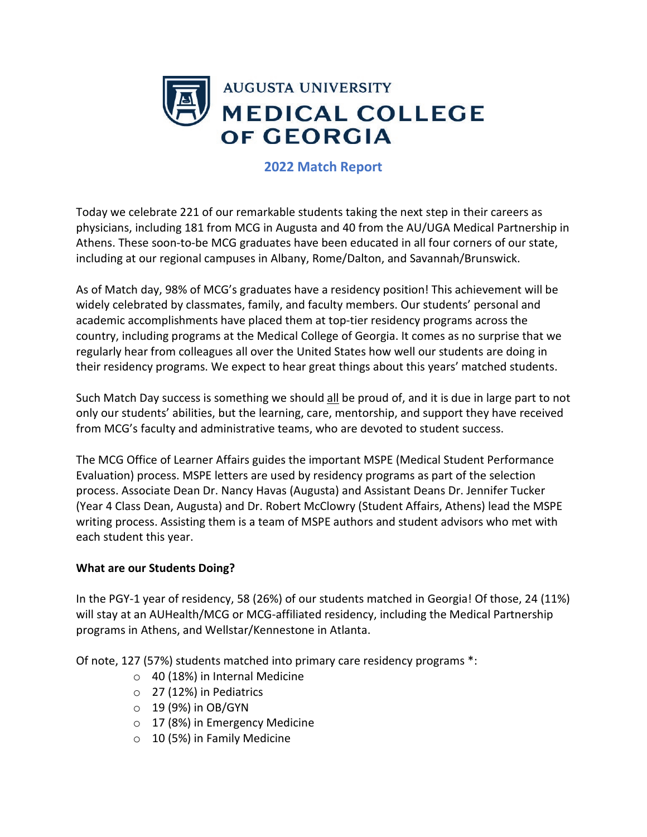

## **2022 Match Report**

Today we celebrate 221 of our remarkable students taking the next step in their careers as physicians, including 181 from MCG in Augusta and 40 from the AU/UGA Medical Partnership in Athens. These soon-to-be MCG graduates have been educated in all four corners of our state, including at our regional campuses in Albany, Rome/Dalton, and Savannah/Brunswick.

As of Match day, 98% of MCG's graduates have a residency position! This achievement will be widely celebrated by classmates, family, and faculty members. Our students' personal and academic accomplishments have placed them at top-tier residency programs across the country, including programs at the Medical College of Georgia. It comes as no surprise that we regularly hear from colleagues all over the United States how well our students are doing in their residency programs. We expect to hear great things about this years' matched students.

Such Match Day success is something we should all be proud of, and it is due in large part to not only our students' abilities, but the learning, care, mentorship, and support they have received from MCG's faculty and administrative teams, who are devoted to student success.

The MCG Office of Learner Affairs guides the important MSPE (Medical Student Performance Evaluation) process. MSPE letters are used by residency programs as part of the selection process. Associate Dean Dr. Nancy Havas (Augusta) and Assistant Deans Dr. Jennifer Tucker (Year 4 Class Dean, Augusta) and Dr. Robert McClowry (Student Affairs, Athens) lead the MSPE writing process. Assisting them is a team of MSPE authors and student advisors who met with each student this year.

## **What are our Students Doing?**

In the PGY-1 year of residency, 58 (26%) of our students matched in Georgia! Of those, 24 (11%) will stay at an AUHealth/MCG or MCG-affiliated residency, including the Medical Partnership programs in Athens, and Wellstar/Kennestone in Atlanta.

Of note, 127 (57%) students matched into primary care residency programs \*:

- o 40 (18%) in Internal Medicine
- o 27 (12%) in Pediatrics
- $\circ$  19 (9%) in OB/GYN
- o 17 (8%) in Emergency Medicine
- o 10 (5%) in Family Medicine